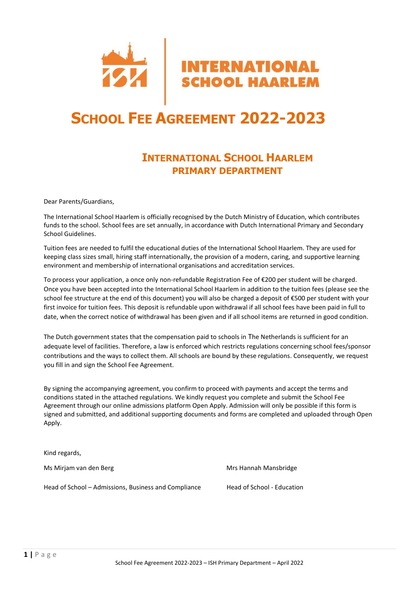

# **SCHOOL FEE AGREEMENT 2022-2023**

# **INTERNATIONAL SCHOOL HAARLEM PRIMARY DEPARTMENT**

Dear Parents/Guardians,

The International School Haarlem is officially recognised by the Dutch Ministry of Education, which contributes funds to the school. School fees are set annually, in accordance with Dutch International Primary and Secondary School Guidelines.

Tuition fees are needed to fulfil the educational duties of the International School Haarlem. They are used for keeping class sizes small, hiring staff internationally, the provision of a modern, caring, and supportive learning environment and membership of international organisations and accreditation services.

To process your application, a once only non-refundable Registration Fee of €200 per student will be charged. Once you have been accepted into the International School Haarlem in addition to the tuition fees (please see the school fee structure at the end of this document) you will also be charged a deposit of €500 per student with your first invoice for tuition fees. This deposit is refundable upon withdrawal if all school fees have been paid in full to date, when the correct notice of withdrawal has been given and if all school items are returned in good condition.

The Dutch government states that the compensation paid to schools in The Netherlands is sufficient for an adequate level of facilities. Therefore, a law is enforced which restricts regulations concerning school fees/sponsor contributions and the ways to collect them. All schools are bound by these regulations. Consequently, we request you fill in and sign the School Fee Agreement.

By signing the accompanying agreement, you confirm to proceed with payments and accept the terms and conditions stated in the attached regulations. We kindly request you complete and submit the School Fee Agreement through our online admissions platform Open Apply. Admission will only be possible if this form is signed and submitted, and additional supporting documents and forms are completed and uploaded through Open Apply.

Kind regards,

Ms Mirjam van den Berg Mansbridge Mansbridge Mansbridge Mrs Hannah Mansbridge

Head of School – Admissions, Business and Compliance Head of School - Education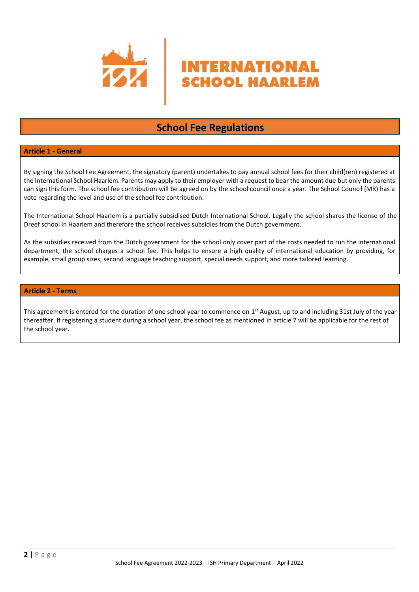

# **School Fee Regulations**

NTERNATIONAL

**SCHOOL HAARLEM** 

# **Article 1 - General**

By signing the School Fee Agreement, the signatory (parent) undertakes to pay annual school fees for their child(ren) registered at the International School Haarlem. Parents may apply to their employer with a request to bear the amount due but only the parents can sign this form. The school fee contribution will be agreed on by the school council once a year. The School Council (MR) has a vote regarding the level and use of the school fee contribution.

The International School Haarlem is a partially subsidised Dutch International School. Legally the school shares the license of the Dreef school in Haarlem and therefore the school receives subsidies from the Dutch government.

As the subsidies received from the Dutch government for the school only cover part of the costs needed to run the international department, the school charges a school fee. This helps to ensure a high quality of international education by providing, for example, small group sizes, second language teaching support, special needs support, and more tailored learning.

## **Article 2 - Terms**

This agreement is entered for the duration of one school year to commence on  $1<sup>st</sup>$  August, up to and including 31st July of the year thereafter. If registering a student during a school year, the school fee as mentioned in article 7 will be applicable for the rest of the school year.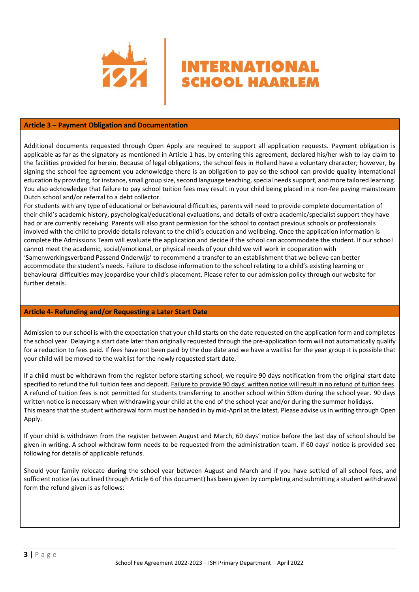

## **Article 3 – Payment Obligation and Documentation**

Additional documents requested through Open Apply are required to support all application requests. Payment obligation is applicable as far as the signatory as mentioned in Article 1 has, by entering this agreement, declared his/her wish to lay claim to the facilities provided for herein. Because of legal obligations, the school fees in Holland have a voluntary character; however, by signing the school fee agreement you acknowledge there is an obligation to pay so the school can provide quality international education by providing, for instance, small group size, second language teaching, special needs support, and more tailored learning. You also acknowledge that failure to pay school tuition fees may result in your child being placed in a non-fee paying mainstream Dutch school and/or referral to a debt collector.

**INTERNATIONAL** 

**SCHOOL HAARLEM** 

For students with any type of educational or behavioural difficulties, parents will need to provide complete documentation of their child's academic history, psychological/educational evaluations, and details of extra academic/specialist support they have had or are currently receiving. Parents will also grant permission for the school to contact previous schools or professionals involved with the child to provide details relevant to the child's education and wellbeing. Once the application information is complete the Admissions Team will evaluate the application and decide if the school can accommodate the student. If our school cannot meet the academic, social/emotional, or physical needs of your child we will work in cooperation with 'Samenwerkingsverband Passend Onderwijs' to recommend a transfer to an establishment that we believe can better accommodate the student's needs. Failure to disclose information to the school relating to a child's existing learning or behavioural difficulties may jeopardise your child's placement. Please refer to our admission policy through our website for further details.

#### **Article 4- Refunding and/or Requesting a Later Start Date**

Admission to our school is with the expectation that your child starts on the date requested on the application form and completes the school year. Delaying a start date later than originally requested through the pre-application form will not automatically qualify for a reduction to fees paid. If fees have not been paid by the due date and we have a waitlist for the year group it is possible that your child will be moved to the waitlist for the newly requested start date.

If a child must be withdrawn from the register before starting school, we require 90 days notification from the original start date specified to refund the full tuition fees and deposit. Failure to provide 90 days' written notice will result in no refund of tuition fees. A refund of tuition fees is not permitted for students transferring to another school within 50km during the school year. 90 days written notice is necessary when withdrawing your child at the end of the school year and/or during the summer holidays. This means that the student withdrawal form must be handed in by mid-April at the latest. Please advise us in writing through Open Apply.

If your child is withdrawn from the register between August and March, 60 days' notice before the last day of school should be given in writing. A school withdraw form needs to be requested from the administration team. If 60 days' notice is provided see following for details of applicable refunds.

Should your family relocate **during** the school year between August and March and if you have settled of all school fees, and sufficient notice (as outlined through Article 6 of this document) has been given by completing and submitting a student withdrawal form the refund given is as follows: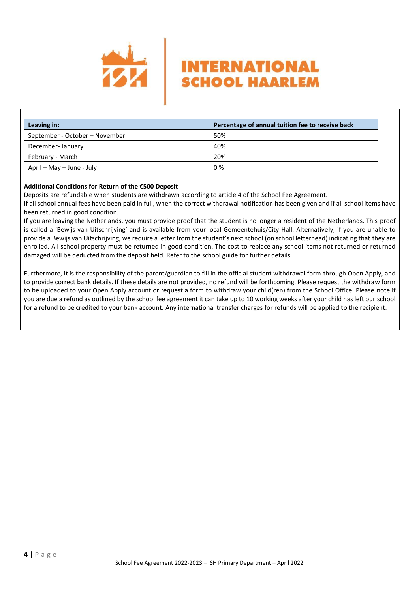

| Leaving in:                    | Percentage of annual tuition fee to receive back |
|--------------------------------|--------------------------------------------------|
| September - October - November | 50%                                              |
| December-January               | 40%                                              |
| February - March               | 20%                                              |
| April – May – June - July      | 0%                                               |

**INTERNATIONAL** 

**SCHOOL HAARLEM** 

# **Additional Conditions for Return of the €500 Deposit**

Deposits are refundable when students are withdrawn according to article 4 of the School Fee Agreement.

If all school annual fees have been paid in full, when the correct withdrawal notification has been given and if all school items have been returned in good condition.

If you are leaving the Netherlands, you must provide proof that the student is no longer a resident of the Netherlands. This proof is called a 'Bewijs van Uitschrijving' and is available from your local Gemeentehuis/City Hall. Alternatively, if you are unable to provide a Bewijs van Uitschrijving, we require a letter from the student's next school (on school letterhead) indicating that they are enrolled. All school property must be returned in good condition. The cost to replace any school items not returned or returned damaged will be deducted from the deposit held. Refer to the school guide for further details.

Furthermore, it is the responsibility of the parent/guardian to fill in the official student withdrawal form through Open Apply, and to provide correct bank details. If these details are not provided, no refund will be forthcoming. Please request the withdraw form to be uploaded to your Open Apply account or request a form to withdraw your child(ren) from the School Office. Please note if you are due a refund as outlined by the school fee agreement it can take up to 10 working weeks after your child has left our school for a refund to be credited to your bank account. Any international transfer charges for refunds will be applied to the recipient.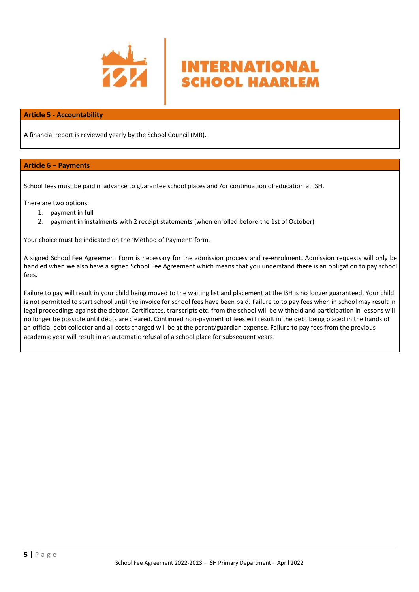

# **Article 5 - Accountability**

A financial report is reviewed yearly by the School Council (MR).

# **Article 6 – Payments**

School fees must be paid in advance to guarantee school places and /or continuation of education at ISH.

There are two options:

- 1. payment in full
- 2. payment in instalments with 2 receipt statements (when enrolled before the 1st of October)

Your choice must be indicated on the 'Method of Payment' form.

A signed School Fee Agreement Form is necessary for the admission process and re-enrolment. Admission requests will only be handled when we also have a signed School Fee Agreement which means that you understand there is an obligation to pay school fees.

**INTERNATIONAL** 

**SCHOOL HAARLEM** 

Failure to pay will result in your child being moved to the waiting list and placement at the ISH is no longer guaranteed. Your child is not permitted to start school until the invoice for school fees have been paid. Failure to to pay fees when in school may result in legal proceedings against the debtor. Certificates, transcripts etc. from the school will be withheld and participation in lessons will no longer be possible until debts are cleared. Continued non-payment of fees will result in the debt being placed in the hands of an official debt collector and all costs charged will be at the parent/guardian expense. Failure to pay fees from the previous academic year will result in an automatic refusal of a school place for subsequent years.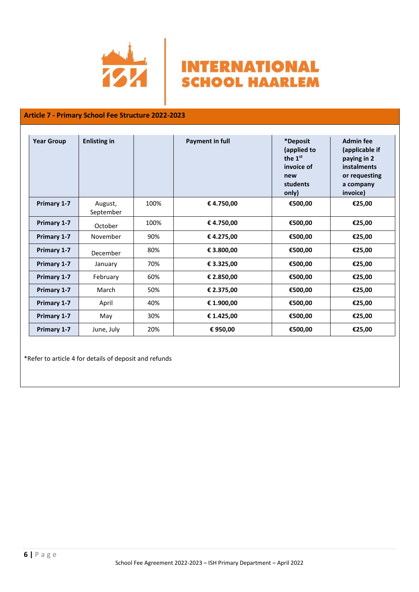



# **Article 7 - Primary School Fee Structure 2022-2023**

| <b>Year Group</b>  | <b>Enlisting in</b>  |      | <b>Payment in full</b> | *Deposit<br>(applied to<br>the 1 <sup>st</sup><br>invoice of<br>new<br>students<br>only) | <b>Admin fee</b><br>(applicable if<br>paying in 2<br>instalments<br>or requesting<br>a company<br>invoice) |
|--------------------|----------------------|------|------------------------|------------------------------------------------------------------------------------------|------------------------------------------------------------------------------------------------------------|
| Primary 1-7        | August,<br>September | 100% | € 4.750,00             | €500,00                                                                                  | €25,00                                                                                                     |
| Primary 1-7        | October              | 100% | € 4.750,00             | €500,00                                                                                  | €25,00                                                                                                     |
| <b>Primary 1-7</b> | November             | 90%  | € 4.275,00             | €500,00                                                                                  | €25,00                                                                                                     |
| Primary 1-7        | December             | 80%  | € 3.800,00             | €500,00                                                                                  | €25,00                                                                                                     |
| Primary 1-7        | January              | 70%  | € 3.325,00             | €500,00                                                                                  | €25,00                                                                                                     |
| Primary 1-7        | February             | 60%  | € 2.850,00             | €500,00                                                                                  | €25,00                                                                                                     |
| Primary 1-7        | March                | 50%  | € 2.375,00             | €500,00                                                                                  | €25,00                                                                                                     |
| Primary 1-7        | April                | 40%  | € 1.900,00             | €500,00                                                                                  | €25,00                                                                                                     |
| Primary 1-7        | May                  | 30%  | € 1.425,00             | €500,00                                                                                  | €25,00                                                                                                     |
| Primary 1-7        | June, July           | 20%  | € 950,00               | €500,00                                                                                  | €25,00                                                                                                     |

\*Refer to article 4 for details of deposit and refunds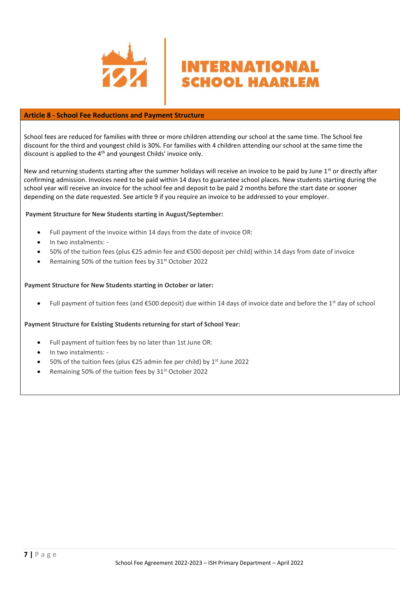

# **Article 8 - School Fee Reductions and Payment Structure**

School fees are reduced for families with three or more children attending our school at the same time. The School fee discount for the third and youngest child is 30%. For families with 4 children attending our school at the same time the discount is applied to the 4<sup>th</sup> and youngest Childs' invoice only.

**INTERNATIONAL** 

**SCHOOL HAARLEM** 

New and returning students starting after the summer holidays will receive an invoice to be paid by June 1<sup>st</sup> or directly after confirming admission. Invoices need to be paid within 14 days to guarantee school places. New students starting during the school year will receive an invoice for the school fee and deposit to be paid 2 months before the start date or sooner depending on the date requested. See article 9 if you require an invoice to be addressed to your employer.

## **Payment Structure for New Students starting in August/September:**

- Full payment of the invoice within 14 days from the date of invoice OR:
- In two instalments: -
- 50% of the tuition fees (plus €25 admin fee and €500 deposit per child) within 14 days from date of invoice
- Remaining 50% of the tuition fees by 31<sup>st</sup> October 2022

## **Payment Structure for New Students starting in October or later:**

Full payment of tuition fees (and €500 deposit) due within 14 days of invoice date and before the 1<sup>st</sup> day of school

## **Payment Structure for Existing Students returning for start of School Year:**

- Full payment of tuition fees by no later than 1st June OR:
- In two instalments: -
- 50% of the tuition fees (plus €25 admin fee per child) by 1<sup>st</sup> June 2022
- Remaining 50% of the tuition fees by 31<sup>st</sup> October 2022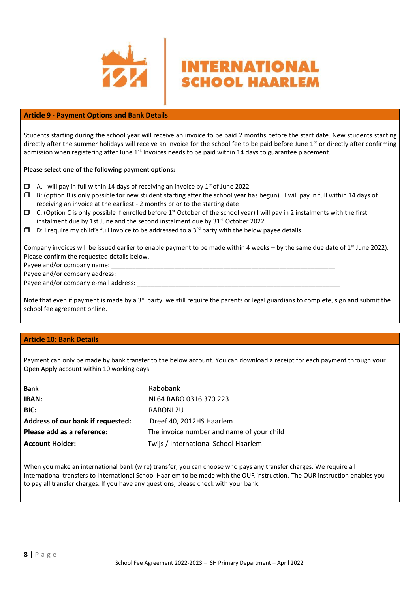

## **Article 9 - Payment Options and Bank Details**

Students starting during the school year will receive an invoice to be paid 2 months before the start date. New students starting directly after the summer holidays will receive an invoice for the school fee to be paid before June  $1<sup>st</sup>$  or directly after confirming admission when registering after June  $1^{st}$  Invoices needs to be paid within 14 days to guarantee placement.

**INTERNATIONAL** 

**SCHOOL HAARLEM** 

#### **Please select one of the following payment options:**

- $\Box$  A. I will pay in full within 14 days of receiving an invoice by 1<sup>st</sup> of June 2022
- $\square$  B: (option B is only possible for new student starting after the school year has begun). I will pay in full within 14 days of receiving an invoice at the earliest - 2 months prior to the starting date
- $\Box$  C: (Option C is only possible if enrolled before 1<sup>st</sup> October of the school year) I will pay in 2 instalments with the first instalment due by 1st June and the second instalment due by  $31<sup>st</sup>$  October 2022.
- $\Box$  D: I require my child's full invoice to be addressed to a 3<sup>rd</sup> party with the below payee details.

Company invoices will be issued earlier to enable payment to be made within 4 weeks – by the same due date of  $1<sup>st</sup>$  June 2022). Please confirm the requested details below.

Payee and/or company name:

Payee and/or company address:

Payee and/or company e-mail address:

Note that even if payment is made by a 3<sup>rd</sup> party, we still require the parents or legal guardians to complete, sign and submit the school fee agreement online.

## **Article 10: Bank Details**

Payment can only be made by bank transfer to the below account. You can download a receipt for each payment through your Open Apply account within 10 working days.

| <b>Bank</b>                       | Rabobank                                  |
|-----------------------------------|-------------------------------------------|
| <b>IBAN:</b>                      | NL64 RABO 0316 370 223                    |
| BIC:                              | RABONL2U                                  |
| Address of our bank if requested: | Dreef 40, 2012HS Haarlem                  |
| Please add as a reference:        | The invoice number and name of your child |
| <b>Account Holder:</b>            | Twijs / International School Haarlem      |

When you make an international bank (wire) transfer, you can choose who pays any transfer charges. We require all international transfers to International School Haarlem to be made with the OUR instruction. The OUR instruction enables you to pay all transfer charges. If you have any questions, please check with your bank.